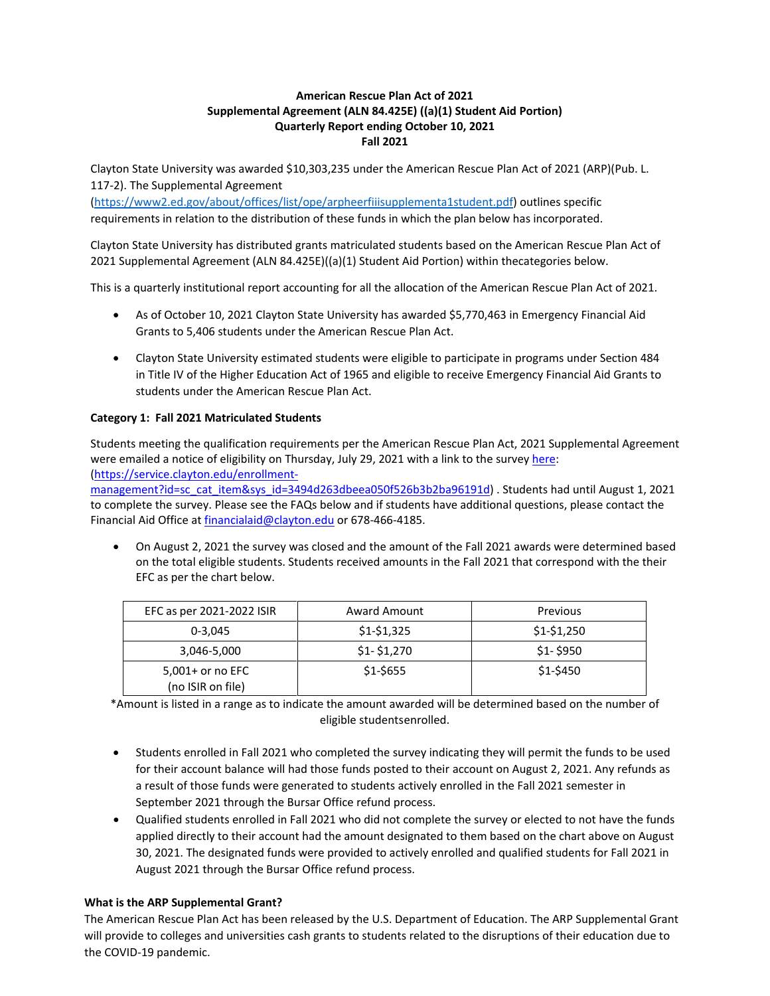# **American Rescue Plan Act of 2021 Supplemental Agreement (ALN 84.425E) ((a)(1) Student Aid Portion) Quarterly Report ending October 10, 2021 Fall 2021**

Clayton State University was awarded \$10,303,235 under the American Rescue Plan Act of 2021 (ARP)(Pub. L. 117-2). The Supplemental Agreement

[\(https://www2.ed.gov/about/offices/list/ope/arpheerfiiisupplementa1student.pdf\)](https://www2.ed.gov/about/offices/list/ope/arpheerfiiisupplementa1student.pdf) outlines specific requirements in relation to the distribution of these funds in which the plan below has incorporated.

Clayton State University has distributed grants matriculated students based on the American Rescue Plan Act of 2021 Supplemental Agreement (ALN 84.425E)((a)(1) Student Aid Portion) within thecategories below.

This is a quarterly institutional report accounting for all the allocation of the American Rescue Plan Act of 2021.

- As of October 10, 2021 Clayton State University has awarded \$5,770,463 in Emergency Financial Aid Grants to 5,406 students under the American Rescue Plan Act.
- Clayton State University estimated students were eligible to participate in programs under Section 484 in Title IV of the Higher Education Act of 1965 and eligible to receive Emergency Financial Aid Grants to students under the American Rescue Plan Act.

# **Category 1: Fall 2021 Matriculated Students**

Students meeting the qualification requirements per the American Rescue Plan Act, 2021 Supplemental Agreement were emailed a notice of eligibility on Thursday, July 29, 2021 with a link to the surve[y here:](https://service.clayton.edu/enrollment-management?id=sc_cat_item&sys_id=3494d263dbeea050f526b3b2ba96191d) [\(https://service.clayton.edu/enrollment-](https://service.clayton.edu/enrollment-management?id=sc_cat_item&sys_id=3494d263dbeea050f526b3b2ba96191d)

[management?id=sc\\_cat\\_item&sys\\_id=3494d263dbeea050f526b3b2ba96191d\)](https://service.clayton.edu/enrollment-management?id=sc_cat_item&sys_id=3494d263dbeea050f526b3b2ba96191d) . Students had until August 1, 2021 to complete the survey. Please see the FAQs below and if students have additional questions, please contact the Financial Aid Office a[t financialaid@clayton.edu](mailto:financialaid@clayton.edu) or 678-466-4185.

• On August 2, 2021 the survey was closed and the amount of the Fall 2021 awards were determined based on the total eligible students. Students received amounts in the Fall 2021 that correspond with the their EFC as per the chart below.

| EFC as per 2021-2022 ISIR             | <b>Award Amount</b> | Previous    |
|---------------------------------------|---------------------|-------------|
| $0 - 3.045$                           | $$1-$1,325$         | $$1-$1,250$ |
| 3,046-5,000                           | $$1-$1,270$         | $$1-$950$   |
| 5,001+ or no EFC<br>(no ISIR on file) | \$1-\$655           | $$1-$450$   |

\*Amount is listed in a range as to indicate the amount awarded will be determined based on the number of eligible studentsenrolled.

- Students enrolled in Fall 2021 who completed the survey indicating they will permit the funds to be used for their account balance will had those funds posted to their account on August 2, 2021. Any refunds as a result of those funds were generated to students actively enrolled in the Fall 2021 semester in September 2021 through the Bursar Office refund process.
- Qualified students enrolled in Fall 2021 who did not complete the survey or elected to not have the funds applied directly to their account had the amount designated to them based on the chart above on August 30, 2021. The designated funds were provided to actively enrolled and qualified students for Fall 2021 in August 2021 through the Bursar Office refund process.

### **What is the ARP Supplemental Grant?**

The American Rescue Plan Act has been released by the U.S. Department of Education. The ARP Supplemental Grant will provide to colleges and universities cash grants to students related to the disruptions of their education due to the COVID-19 pandemic.